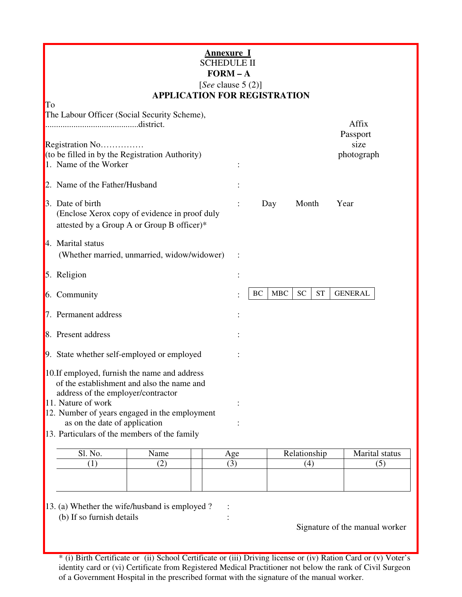| <u>Annexure I</u><br><b>SCHEDULE II</b><br>$FORM - A$<br>[See clause $5(2)$ ]<br><b>APPLICATION FOR REGISTRATION</b>              |      |  |            |            |                 |                    |  |
|-----------------------------------------------------------------------------------------------------------------------------------|------|--|------------|------------|-----------------|--------------------|--|
| To<br>The Labour Officer (Social Security Scheme),<br>district.                                                                   |      |  |            |            |                 | Affix<br>Passport  |  |
| Registration No<br>(to be filled in by the Registration Authority)<br>1. Name of the Worker                                       |      |  |            |            |                 | size<br>photograph |  |
| 2. Name of the Father/Husband                                                                                                     |      |  |            |            |                 |                    |  |
| 3. Date of birth<br>(Enclose Xerox copy of evidence in proof duly<br>attested by a Group A or Group B officer)*                   |      |  |            | Day        | Month           | Year               |  |
| 4. Marital status<br>(Whether married, unmarried, widow/widower)                                                                  |      |  |            |            |                 |                    |  |
| 5. Religion                                                                                                                       |      |  |            |            |                 |                    |  |
| 6. Community                                                                                                                      |      |  | BC         | <b>MBC</b> | <b>ST</b><br>SC | <b>GENERAL</b>     |  |
| 7. Permanent address                                                                                                              |      |  |            |            |                 |                    |  |
| 8. Present address                                                                                                                |      |  |            |            |                 |                    |  |
| 9. State whether self-employed or employed                                                                                        |      |  |            |            |                 |                    |  |
| 10. If employed, furnish the name and address<br>of the establishment and also the name and<br>address of the employer/contractor |      |  |            |            |                 |                    |  |
| 11. Nature of work<br>12. Number of years engaged in the employment                                                               |      |  |            |            |                 |                    |  |
| as on the date of application                                                                                                     |      |  |            |            |                 |                    |  |
| 13. Particulars of the members of the family                                                                                      |      |  |            |            |                 |                    |  |
| Sl. No.                                                                                                                           | Name |  | <u>Age</u> |            | Relationship    | Marital status     |  |

| Sl. No. | Name | Age | Relationship | Marital status |
|---------|------|-----|--------------|----------------|
|         | ∼    |     |              | ຼ              |
|         |      |     |              |                |
|         |      |     |              |                |
|         |      |     |              |                |

13. (a) Whether the wife/husband is employed ? :

(b) If so furnish details :

Signature of the manual worker

\* (i) Birth Certificate or (ii) School Certificate or (iii) Driving license or (iv) Ration Card or (v) Voter's identity card or (vi) Certificate from Registered Medical Practitioner not below the rank of Civil Surgeon of a Government Hospital in the prescribed format with the signature of the manual worker.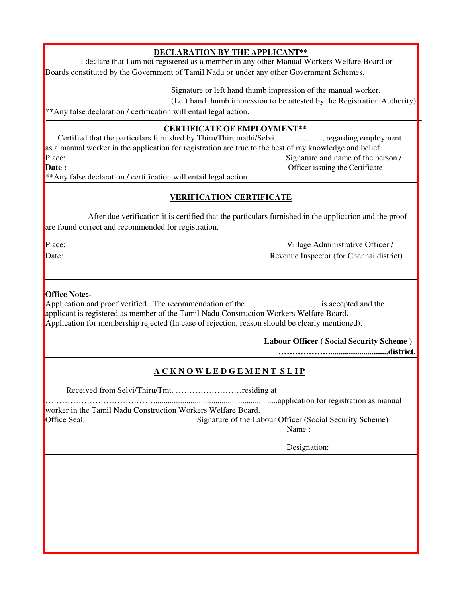### **DECLARATION BY THE APPLICANT\*\***

I declare that I am not registered as a member in any other Manual Workers Welfare Board or Boards constituted by the Government of Tamil Nadu or under any other Government Schemes.

Signature or left hand thumb impression of the manual worker.

(Left hand thumb impression to be attested by the Registration Authority)

\*\*Any false declaration / certification will entail legal action.

#### **CERTIFICATE OF EMPLOYMENT\*\***

 Certified that the particulars furnished by Thiru/Thirumathi/Selvi…..................., regarding employment as a manual worker in the application for registration are true to the best of my knowledge and belief. Place: Signature and name of the person / **Date :** Officer issuing the Certificate

\*\*Any false declaration / certification will entail legal action.

#### **VERIFICATION CERTIFICATE**

After due verification it is certified that the particulars furnished in the application and the proof are found correct and recommended for registration.

Place: Village Administrative Officer / Date: Revenue Inspector (for Chennai district)

#### **Office Note:-**

Application and proof verified. The recommendation of the ………………………is accepted and the applicant is registered as member of the Tamil Nadu Construction Workers Welfare Board**.** Application for membership rejected (In case of rejection, reason should be clearly mentioned).

**Labour Officer ( Social Security Scheme )**

**……………….............................district.**

# **A C K N O W L E D G E M E N T S L I P**

Received from Selvi/Thiru/Tmt. ……………………residing at

…………………………………............................................................application for registration as manual

worker in the Tamil Nadu Construction Workers Welfare Board. Office Seal: Signature of the Labour Officer (Social Security Scheme)

Name :

Designation: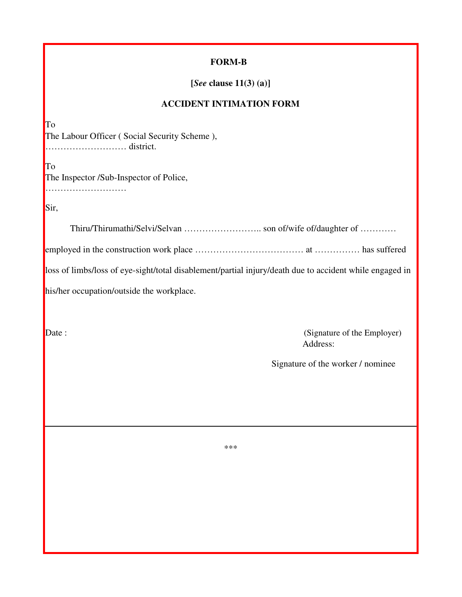#### **FORM-B**

**[***See* **clause 11(3) (a)]**

#### **ACCIDENT INTIMATION FORM**

To The Labour Officer ( Social Security Scheme ), ……………………… district.

To The Inspector /Sub-Inspector of Police, ……………………………

Sir,

Thiru/Thirumathi/Selvi/Selvan …………………….. son of/wife of/daughter of ………… employed in the construction work place ……………………………………………………… has suffered loss of limbs/loss of eye-sight/total disablement/partial injury/death due to accident while engaged in his/her occupation/outside the workplace.

Date : (Signature of the Employer) Address:

Signature of the worker / nominee

\*\*\*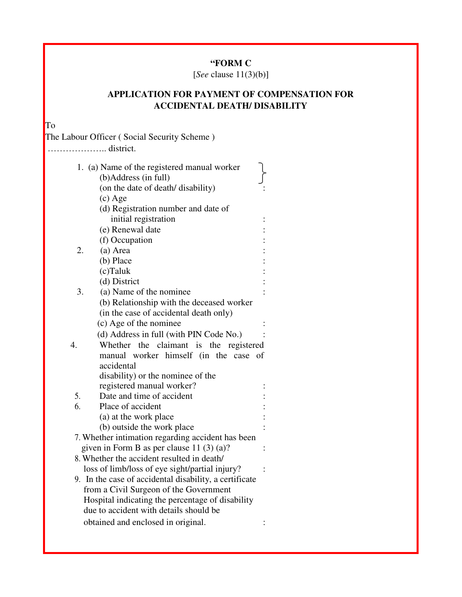# **"FORM C**

[*See* clause 11(3)(b)]

# **APPLICATION FOR PAYMENT OF COMPENSATION FOR ACCIDENTAL DEATH/ DISABILITY**

To

The Labour Officer ( Social Security Scheme )

| ………………… district.

|                  | 1. (a) Name of the registered manual worker            |
|------------------|--------------------------------------------------------|
|                  | (b) Address (in full)                                  |
|                  | (on the date of death/ disability)                     |
|                  | $(c)$ Age                                              |
|                  | (d) Registration number and date of                    |
|                  | initial registration                                   |
|                  | (e) Renewal date                                       |
|                  | (f) Occupation                                         |
| 2.               | (a) Area                                               |
|                  | (b) Place                                              |
|                  | $(c)$ Taluk                                            |
|                  | (d) District                                           |
| 3.               | (a) Name of the nominee                                |
|                  | (b) Relationship with the deceased worker              |
|                  | (in the case of accidental death only)                 |
|                  | (c) Age of the nominee                                 |
|                  | (d) Address in full (with PIN Code No.)                |
| $\overline{4}$ . | Whether the claimant is the registered                 |
|                  | manual worker himself (in the case of                  |
|                  | accidental                                             |
|                  | disability) or the nominee of the                      |
|                  | registered manual worker?                              |
| 5.               | Date and time of accident                              |
| 6.               | Place of accident                                      |
|                  | (a) at the work place                                  |
|                  | (b) outside the work place                             |
|                  | 7. Whether intimation regarding accident has been      |
|                  | given in Form B as per clause 11 $(3)$ $(a)$ ?         |
|                  | 8. Whether the accident resulted in death/             |
|                  | loss of limb/loss of eye sight/partial injury?         |
|                  | 9. In the case of accidental disability, a certificate |
|                  | from a Civil Surgeon of the Government                 |
|                  | Hospital indicating the percentage of disability       |
|                  | due to accident with details should be                 |
|                  | obtained and enclosed in original.                     |
|                  |                                                        |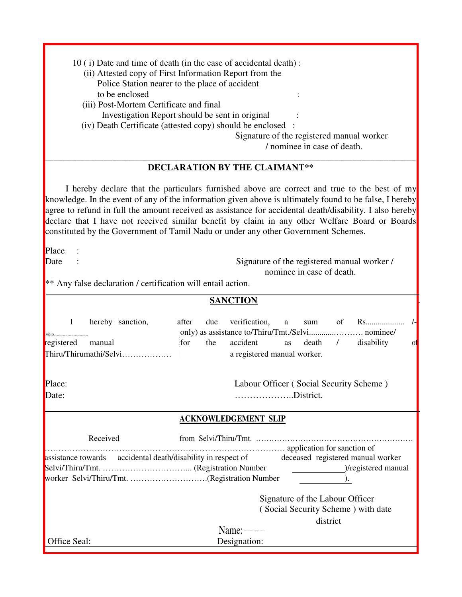| 10 (i) Date and time of death (in the case of accidental death) : |
|-------------------------------------------------------------------|
| (ii) Attested copy of First Information Report from the           |
| Police Station nearer to the place of accident                    |
| to be enclosed                                                    |
| (iii) Post-Mortem Certificate and final                           |
| Investigation Report should be sent in original                   |
| (iv) Death Certificate (attested copy) should be enclosed :       |
| Signature of the registered manual worker                         |

/ nominee in case of death.

#### \_\_\_\_\_\_\_\_\_\_\_\_\_\_\_\_\_\_\_\_\_\_\_\_\_\_\_\_\_\_\_\_\_\_\_\_\_\_\_\_\_\_\_\_\_\_\_\_\_\_\_\_\_\_\_\_\_\_\_\_\_\_\_\_\_\_\_\_\_\_\_\_\_\_\_\_\_\_\_\_\_\_ **DECLARATION BY THE CLAIMANT\*\***

I hereby declare that the particulars furnished above are correct and true to the best of my knowledge. In the event of any of the information given above is ultimately found to be false, I hereby agree to refund in full the amount received as assistance for accidental death/disability. I also hereby declare that I have not received similar benefit by claim in any other Welfare Board or Boards constituted by the Government of Tamil Nadu or under any other Government Schemes.

Place :

Date : Signature of the registered manual worker / nominee in case of death.

\*\* Any false declaration / certification will entail action.

|                                                                                                |           |     | <b>SANCTION</b>                         |    |                                 |          |                                    |
|------------------------------------------------------------------------------------------------|-----------|-----|-----------------------------------------|----|---------------------------------|----------|------------------------------------|
| $\bf{I}$<br>hereby sanction,<br>Rupees                                                         | after     | due | verification, a                         |    |                                 |          | sum of Rs                          |
| registered manual                                                                              | for       | the | accident                                | as |                                 |          | death / disability<br>01           |
| Thiru/Thirumathi/Selvi                                                                         |           |     | a registered manual worker.             |    |                                 |          |                                    |
| Place:                                                                                         |           |     | Labour Officer (Social Security Scheme) |    |                                 |          |                                    |
| Date:                                                                                          | District. |     |                                         |    |                                 |          |                                    |
|                                                                                                |           |     | <b>ACKNOWLEDGEMENT SLIP</b>             |    |                                 |          |                                    |
| Received<br>application for sanction of                                                        |           |     |                                         |    |                                 |          |                                    |
| assistance towards accidental death/disability in respect of deceased registered manual worker |           |     |                                         |    |                                 |          |                                    |
|                                                                                                |           |     |                                         |    |                                 |          | )/registered manual                |
| worker Selvi/Thiru/Tmt. (Registration Number                                                   |           |     |                                         |    |                                 |          |                                    |
|                                                                                                |           |     |                                         |    | Signature of the Labour Officer |          |                                    |
|                                                                                                |           |     |                                         |    |                                 |          | (Social Security Scheme) with date |
|                                                                                                |           |     |                                         |    |                                 | district |                                    |
|                                                                                                |           |     | Name:-                                  |    |                                 |          |                                    |
| Office Seal:                                                                                   |           |     | Designation:                            |    |                                 |          |                                    |

í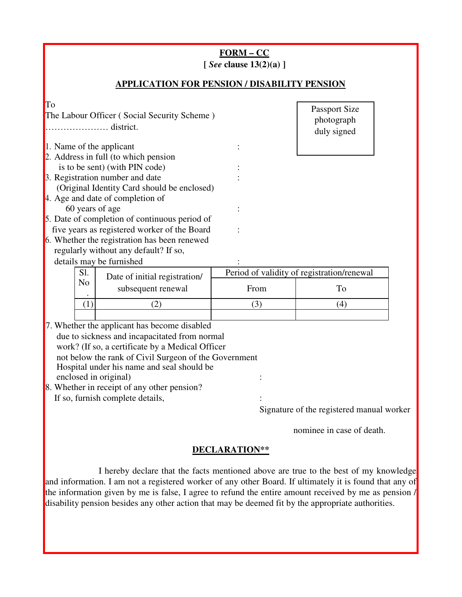|                                                                                                                                                                                                                                                                                                                                                                                                                                                                   | $FORM-CC$<br>[ See clause $13(2)(a)$ ] |                                                  |
|-------------------------------------------------------------------------------------------------------------------------------------------------------------------------------------------------------------------------------------------------------------------------------------------------------------------------------------------------------------------------------------------------------------------------------------------------------------------|----------------------------------------|--------------------------------------------------|
| <b>APPLICATION FOR PENSION / DISABILITY PENSION</b>                                                                                                                                                                                                                                                                                                                                                                                                               |                                        |                                                  |
| To<br>The Labour Officer (Social Security Scheme)<br>district.                                                                                                                                                                                                                                                                                                                                                                                                    |                                        | Passport Size<br>photograph<br>duly signed       |
| 1. Name of the applicant<br>2. Address in full (to which pension<br>is to be sent) (with PIN code)<br>3. Registration number and date<br>(Original Identity Card should be enclosed)<br>4. Age and date of completion of<br>60 years of age<br>5. Date of completion of continuous period of<br>five years as registered worker of the Board<br>6. Whether the registration has been renewed<br>regularly without any default? If so,<br>details may be furnished |                                        |                                                  |
| Sl.<br>Date of initial registration/<br>N <sub>o</sub><br>subsequent renewal                                                                                                                                                                                                                                                                                                                                                                                      | From                                   | Period of validity of registration/renewal<br>To |
| (1)<br>(2)                                                                                                                                                                                                                                                                                                                                                                                                                                                        | (3)                                    | (4)                                              |
| 7. Whether the applicant has become disabled<br>due to sickness and incapacitated from normal<br>work? (If so, a certificate by a Medical Officer<br>not below the rank of Civil Surgeon of the Government<br>Hospital under his name and seal should be<br>enclosed in original)<br>8. Whether in receipt of any other pension?<br>If so, furnish complete details,                                                                                              |                                        | Signature of the registered manual worker        |

nominee in case of death.

# **DECLARATION\*\***

I hereby declare that the facts mentioned above are true to the best of my knowledge and information. I am not a registered worker of any other Board. If ultimately it is found that any of the information given by me is false, I agree to refund the entire amount received by me as pension / disability pension besides any other action that may be deemed fit by the appropriate authorities.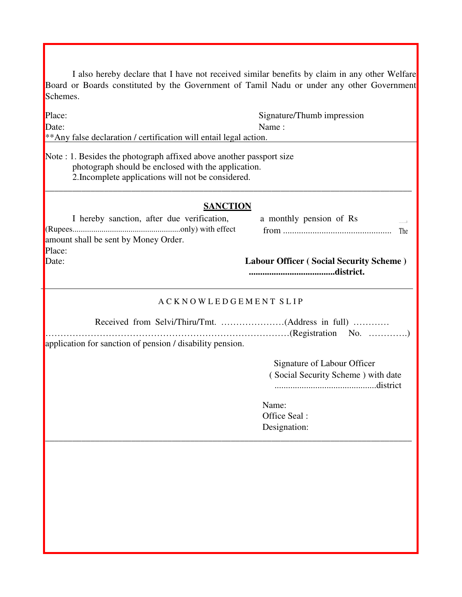I also hereby declare that I have not received similar benefits by claim in any other Welfare Board or Boards constituted by the Government of Tamil Nadu or under any other Government Schemes.

| Place:                                                                                                                                                                            | Signature/Thumb impression                     |
|-----------------------------------------------------------------------------------------------------------------------------------------------------------------------------------|------------------------------------------------|
| Date:                                                                                                                                                                             | Name:                                          |
| ** Any false declaration / certification will entail legal action.                                                                                                                |                                                |
| Note : 1. Besides the photograph affixed above another passport size<br>photograph should be enclosed with the application.<br>2. Incomplete applications will not be considered. |                                                |
|                                                                                                                                                                                   | <b>SANCTION</b>                                |
| I hereby sanction, after due verification,                                                                                                                                        | a monthly pension of Rs                        |
| amount shall be sent by Money Order.                                                                                                                                              | The                                            |
| Place:                                                                                                                                                                            |                                                |
| Date:                                                                                                                                                                             | <b>Labour Officer (Social Security Scheme)</b> |
|                                                                                                                                                                                   | <b>ACKNOWLEDGEMENT SLIP</b>                    |
|                                                                                                                                                                                   |                                                |
| application for sanction of pension / disability pension.                                                                                                                         |                                                |
|                                                                                                                                                                                   | Signature of Labour Officer                    |
|                                                                                                                                                                                   | (Social Security Scheme) with date             |
|                                                                                                                                                                                   | Name:                                          |
|                                                                                                                                                                                   | Office Seal:                                   |
|                                                                                                                                                                                   | Designation:                                   |
|                                                                                                                                                                                   |                                                |
|                                                                                                                                                                                   |                                                |
|                                                                                                                                                                                   |                                                |
|                                                                                                                                                                                   |                                                |
|                                                                                                                                                                                   |                                                |
|                                                                                                                                                                                   |                                                |
|                                                                                                                                                                                   |                                                |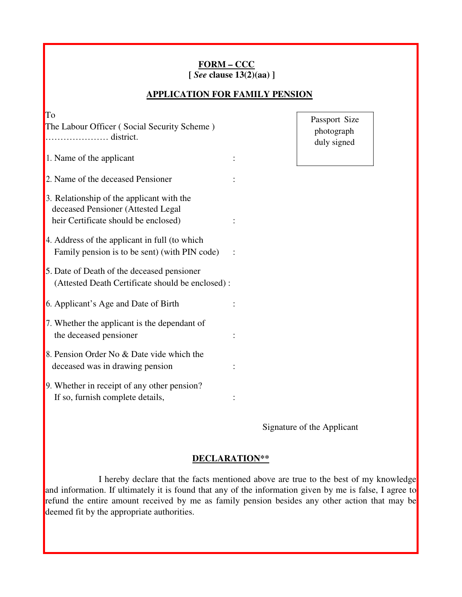#### **FORM – CCC [** *See* **clause 13(2)(aa) ]**

#### **APPLICATION FOR FAMILY PENSION**

| To                                                                           |  |
|------------------------------------------------------------------------------|--|
| The Labour Officer (Social Security Scheme)<br>district.                     |  |
|                                                                              |  |
| 1. Name of the applicant                                                     |  |
| 2. Name of the deceased Pensioner                                            |  |
| 3. Relationship of the applicant with the                                    |  |
| deceased Pensioner (Attested Legal<br>heir Certificate should be enclosed)   |  |
| 4. Address of the applicant in full (to which                                |  |
| Family pension is to be sent) (with PIN code)                                |  |
| 5. Date of Death of the deceased pensioner                                   |  |
| (Attested Death Certificate should be enclosed):                             |  |
| 6. Applicant's Age and Date of Birth                                         |  |
| 7. Whether the applicant is the dependant of                                 |  |
| the deceased pensioner                                                       |  |
| 8. Pension Order No & Date vide which the<br>deceased was in drawing pension |  |
| 9. Whether in receipt of any other pension?                                  |  |
| If so, furnish complete details,                                             |  |

Passport Size photograph duly signed

Signature of the Applicant

#### **DECLARATION\*\***

I hereby declare that the facts mentioned above are true to the best of my knowledge and information. If ultimately it is found that any of the information given by me is false, I agree to refund the entire amount received by me as family pension besides any other action that may be deemed fit by the appropriate authorities.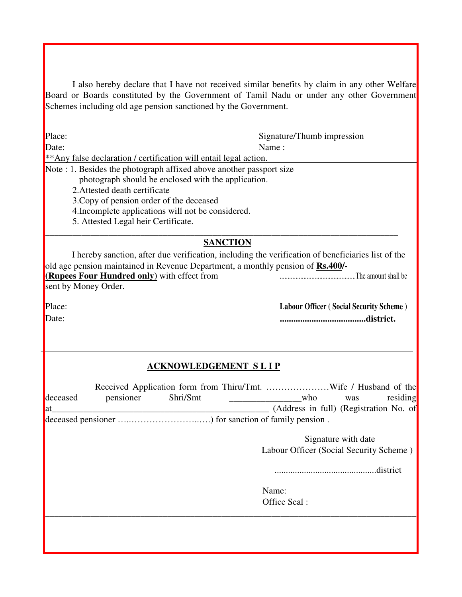I also hereby declare that I have not received similar benefits by claim in any other Welfare Board or Boards constituted by the Government of Tamil Nadu or under any other Government Schemes including old age pension sanctioned by the Government.

Place: Signature/Thumb impression

Date: Name : \*\*Any false declaration / certification will entail legal action.

Note : 1. Besides the photograph affixed above another passport size

photograph should be enclosed with the application.

2.Attested death certificate

3.Copy of pension order of the deceased

4.Incomplete applications will not be considered.

5. Attested Legal heir Certificate.

# **SANCTION**

\_\_\_\_\_\_\_\_\_\_\_\_\_\_\_\_\_\_\_\_\_\_\_\_\_\_\_\_\_\_\_\_\_\_\_\_\_\_\_\_\_\_\_\_\_\_\_\_\_\_\_\_\_\_\_\_\_\_\_\_\_\_\_\_\_\_\_\_\_\_\_\_\_\_\_\_\_\_

I hereby sanction, after due verification, including the verification of beneficiaries list of the old age pension maintained in Revenue Department, a monthly pension of **Rs.400/- (Rupees Four Hundred only)** with effect from ................................................The amount shall be sent by Money Order.

Place: **Labour Officer ( Social Security Scheme )** Date: **......................................district.**

# **ACKNOWLEDGEMENT S L I P**

| deceased | pensioner | Shri/Smt | who                                     | was                 | residing  |
|----------|-----------|----------|-----------------------------------------|---------------------|-----------|
| lat      |           |          | (Address in full) (Registration No. of  |                     |           |
|          |           |          |                                         |                     |           |
|          |           |          |                                         | Signature with date |           |
|          |           |          | Labour Officer (Social Security Scheme) |                     |           |
|          |           |          |                                         |                     | .district |
|          |           |          | Name:                                   |                     |           |
|          |           |          | Office Seal:                            |                     |           |
|          |           |          |                                         |                     |           |
|          |           |          |                                         |                     |           |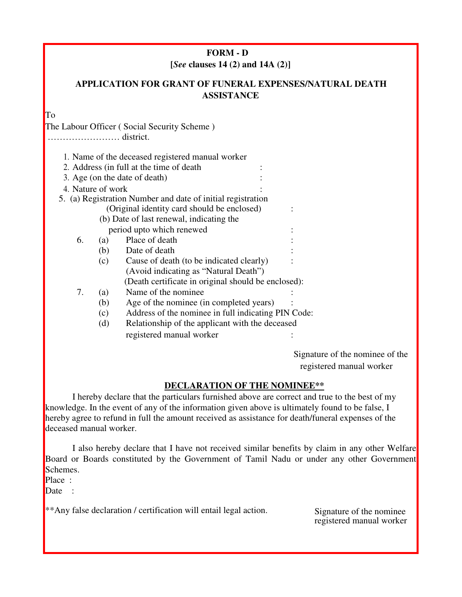# **FORM - D [***See* **clauses 14 (2) and 14A (2)]**

# **APPLICATION FOR GRANT OF FUNERAL EXPENSES/NATURAL DEATH ASSISTANCE**

To

The Labour Officer ( Social Security Scheme )

…………………… district.

|    |                   | 1. Name of the deceased registered manual worker            |  |
|----|-------------------|-------------------------------------------------------------|--|
|    |                   | 2. Address (in full at the time of death)                   |  |
|    |                   | 3. Age (on the date of death)                               |  |
|    | 4. Nature of work |                                                             |  |
|    |                   | 5. (a) Registration Number and date of initial registration |  |
|    |                   | (Original identity card should be enclosed)                 |  |
|    |                   | (b) Date of last renewal, indicating the                    |  |
|    |                   | period upto which renewed                                   |  |
| 6. | (a)               | Place of death                                              |  |
|    | (b)               | Date of death                                               |  |
|    | (c)               | Cause of death (to be indicated clearly)                    |  |
|    |                   | (Avoid indicating as "Natural Death")                       |  |
|    |                   | (Death certificate in original should be enclosed):         |  |
| 7. | (a)               | Name of the nominee                                         |  |
|    | (b)               | Age of the nominee (in completed years)                     |  |
|    | (c)               | Address of the nominee in full indicating PIN Code:         |  |
|    | (d)               | Relationship of the applicant with the deceased             |  |
|    |                   | registered manual worker                                    |  |
|    |                   |                                                             |  |

Signature of the nominee of the registered manual worker

# **DECLARATION OF THE NOMINEE\*\***

I hereby declare that the particulars furnished above are correct and true to the best of my knowledge. In the event of any of the information given above is ultimately found to be false, I hereby agree to refund in full the amount received as assistance for death/funeral expenses of the deceased manual worker.

I also hereby declare that I have not received similar benefits by claim in any other Welfare Board or Boards constituted by the Government of Tamil Nadu or under any other Government Schemes.

Place :

Date :

\*\*Any false declaration / certification will entail legal action. Signature of the nominee

registered manual worker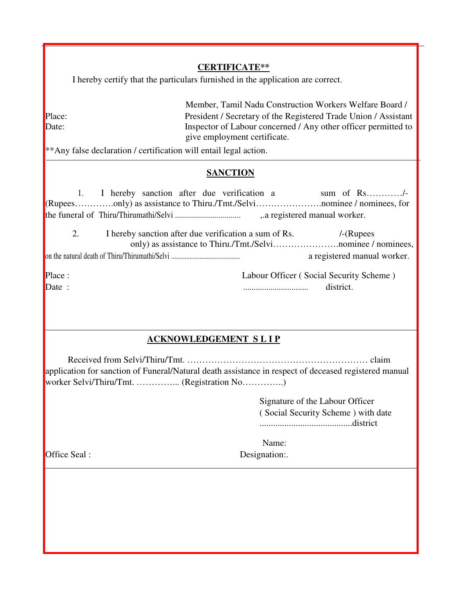#### **CERTIFICATE\*\***

I hereby certify that the particulars furnished in the application are correct.

Member, Tamil Nadu Construction Workers Welfare Board / Place:<br>
President / Secretary of the Registered Trade Union / Assistant<br>
Inspector of Labour concerned / Any other officer permitted to Inspector of Labour concerned / Any other officer permitted to give employment certificate.

\*\*Any false declaration / certification will entail legal action.

#### **SANCTION**

1. I hereby sanction after due verification a sum of Rs…………/-(Rupees………….only) as assistance to Thiru./Tmt./Selvi………………….nominee / nominees, for the funeral of Thiru/Thirumathi/Selvi ................................. ,.a registered manual worker. 2. I hereby sanction after due verification a sum of Rs. /-(Rupees only) as assistance to Thiru./Tmt./Selvi………………….nominee / nominees, on the natural death of Thiru/Thirumathi/Selvi ......................................... a registered manual worker. Place : Labour Officer ( Social Security Scheme ) Date : ............................... district.

# **ACKNOWLEDGEMENT S L I P**

Received from Selvi/Thiru/Tmt. …………………………………………………… claim application for sanction of Funeral/Natural death assistance in respect of deceased registered manual worker Selvi/Thiru/Tmt. …………... (Registration No…………..)

> Signature of the Labour Officer ( Social Security Scheme ) with date .........................................district

Name:

Office Seal : Designation:.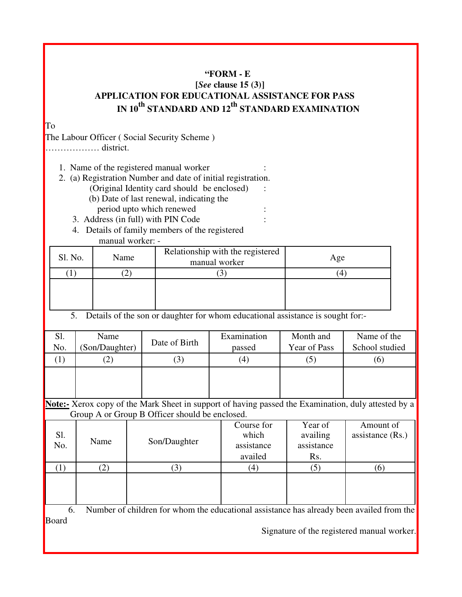# **"FORM - E**

# **[***See* **clause 15 (3)] APPLICATION FOR EDUCATIONAL ASSISTANCE FOR PASS IN 10th STANDARD AND 12th STANDARD EXAMINATION**

To

The Labour Officer ( Social Security Scheme ) ……………… district.

1. Name of the registered manual worker :

- 2. (a) Registration Number and date of initial registration. (Original Identity card should be enclosed) : (b) Date of last renewal, indicating the
	- period upto which renewed :
	- 3. Address (in full) with PIN Code :
	- 4. Details of family members of the registered manual worker: -

| Sl. No. | Name | Relationship with the registered<br>manual worker | Age |
|---------|------|---------------------------------------------------|-----|
|         |      |                                                   |     |
|         |      |                                                   |     |

5. Details of the son or daughter for whom educational assistance is sought for:-

| Sl.<br>No. | Name<br>(Son/Daughter) | Date of Birth | Examination<br>passed | Month and<br>Year of Pass | Name of the<br>School studied |
|------------|------------------------|---------------|-----------------------|---------------------------|-------------------------------|
|            | $\left[ 2\right]$      | (3)           | $\left( 4\right)$     |                           | (၀)                           |
|            |                        |               |                       |                           |                               |

**Note:-** Xerox copy of the Mark Sheet in support of having passed the Examination, duly attested by a Group A or Group B Officer should be enclosed.

| Sl.<br>No. | Name | Son/Daughter   | Course for<br>which<br>assistance<br>availed | Year of<br>availing<br>assistance<br>Rs. | Amount of<br>assistance $(Rs.)$ |
|------------|------|----------------|----------------------------------------------|------------------------------------------|---------------------------------|
|            | 2)   | $\mathfrak{Z}$ | (4)                                          | (5                                       | $\lceil 6 \rceil$               |
|            |      |                |                                              |                                          |                                 |

6. Number of children for whom the educational assistance has already been availed from the Board

Signature of the registered manual worker.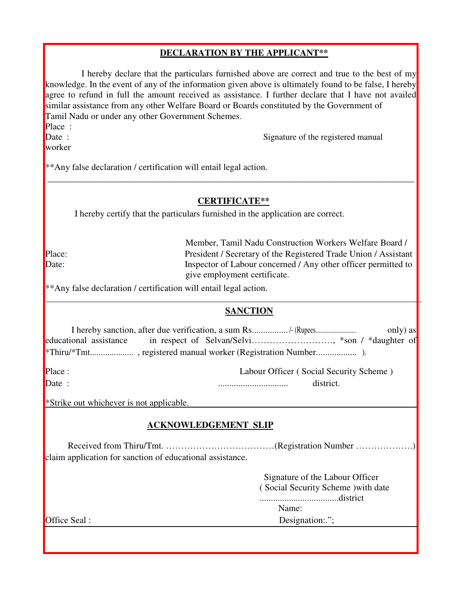# **DECLARATION BY THE APPLICANT\*\***

I hereby declare that the particulars furnished above are correct and true to the best of my knowledge. In the event of any of the information given above is ultimately found to be false, I hereby agree to refund in full the amount received as assistance. I further declare that I have not availed similar assistance from any other Welfare Board or Boards constituted by the Government of Tamil Nadu or under any other Government Schemes.

Place :

worker

Date : Signature of the registered manual

\*\*Any false declaration / certification will entail legal action. \_\_\_\_\_\_\_\_\_\_\_\_\_\_\_\_\_\_\_\_\_\_\_\_\_\_\_\_\_\_\_\_\_\_\_\_\_\_\_\_\_\_\_\_\_\_\_\_\_\_\_\_\_\_\_\_\_\_\_\_\_\_\_\_\_\_\_\_\_\_\_\_\_\_\_\_\_\_\_\_\_

#### **CERTIFICATE\*\***

I hereby certify that the particulars furnished in the application are correct.

Member, Tamil Nadu Construction Workers Welfare Board / Place: President / Secretary of the Registered Trade Union / Assistant Date: Inspector of Labour concerned / Any other officer permitted to give employment certificate.

\*\*Any false declaration / certification will entail legal action.

# **SANCTION**

|  | I hereby sanction, after due verification, a sum Rs/- (Rupees | only) as |
|--|---------------------------------------------------------------|----------|
|  |                                                               |          |
|  |                                                               |          |

Place : Labour Officer ( Social Security Scheme ) Date : ............................... district.

\*Strike out whichever is not applicable.

# **ACKNOWLEDGEMENT SLIP**

Received from Thiru/Tmt. ………………………………(Registration Number ……………….) claim application for sanction of educational assistance.

> Signature of the Labour Officer ( Social Security Scheme )with date

...................................district Name:

Office Seal : Second Second Second Second Second Second Second Second Second Second Second Second Second Second Second Second Second Second Second Second Second Second Second Second Second Second Second Second Second Secon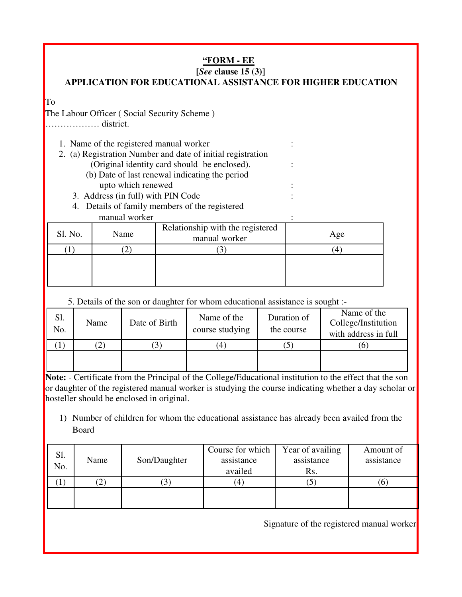# **"FORM - EE**

# **[***See* **clause 15 (3)]**

# **APPLICATION FOR EDUCATIONAL ASSISTANCE FOR HIGHER EDUCATION**

To

The Labour Officer ( Social Security Scheme )

……………… district.

| 1. Name of the registered manual worker |  |
|-----------------------------------------|--|
|                                         |  |
|                                         |  |
|                                         |  |

- 2. (a) Registration Number and date of initial registration
	- (Original identity card should be enclosed). : (b) Date of last renewal indicating the period upto which renewed :
	-
	- 3. Address (in full) with PIN Code :
	- 4. Details of family members of the registered manual worker :

| Sl. No. | Relationship with the registered<br>Name<br>manual worker |  | Age |  |  |
|---------|-----------------------------------------------------------|--|-----|--|--|
|         |                                                           |  |     |  |  |
|         |                                                           |  |     |  |  |

5. Details of the son or daughter for whom educational assistance is sought :-

| Sl.<br>No. | Name | Date of Birth | Name of the<br>course studying | Duration of<br>the course | Name of the<br>College/Institution<br>with address in full |
|------------|------|---------------|--------------------------------|---------------------------|------------------------------------------------------------|
|            |      |               | $\left(4\right)$               |                           |                                                            |
|            |      |               |                                |                           |                                                            |

**Note:** - Certificate from the Principal of the College/Educational institution to the effect that the son or daughter of the registered manual worker is studying the course indicating whether a day scholar or hosteller should be enclosed in original.

1) Number of children for whom the educational assistance has already been availed from the Board

| Sl.<br>No. | Name | Son/Daughter | Course for which<br>assistance<br>availed | Year of availing<br>assistance<br>Rs. | Amount of<br>assistance |
|------------|------|--------------|-------------------------------------------|---------------------------------------|-------------------------|
|            | ∠    |              | (4                                        | J                                     | O                       |
|            |      |              |                                           |                                       |                         |

Signature of the registered manual worker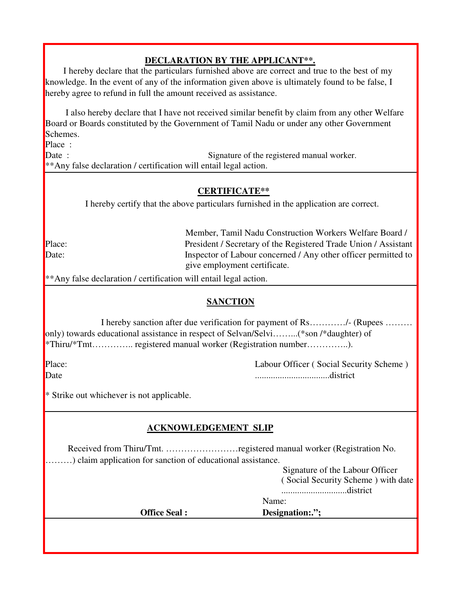# **DECLARATION BY THE APPLICANT\*\*.**

I hereby declare that the particulars furnished above are correct and true to the best of my knowledge. In the event of any of the information given above is ultimately found to be false, I hereby agree to refund in full the amount received as assistance.

I also hereby declare that I have not received similar benefit by claim from any other Welfare Board or Boards constituted by the Government of Tamil Nadu or under any other Government Schemes.

Place :

Date : Signature of the registered manual worker. \*\*Any false declaration / certification will entail legal action.

### **CERTIFICATE\*\***

I hereby certify that the above particulars furnished in the application are correct.

Member, Tamil Nadu Construction Workers Welfare Board / Place: President / Secretary of the Registered Trade Union / Assistant Date: Inspector of Labour concerned / Any other officer permitted to give employment certificate.

\*\*Any false declaration / certification will entail legal action.

# **SANCTION**

I hereby sanction after due verification for payment of Rs…………/- (Rupees ……… only) towards educational assistance in respect of Selvan/Selvi……...(\*son /\*daughter) of \*Thiru/\*Tmt………….. registered manual worker (Registration number…………..).

Place: Labour Officer ( Social Security Scheme ) Date .................................district

\* Strike out whichever is not applicable.

# **ACKNOWLEDGEMENT SLIP**

Received from Thiru/Tmt. ……………………registered manual worker (Registration No. ………) claim application for sanction of educational assistance.

> Signature of the Labour Officer ( Social Security Scheme ) with date

.............................district

Name:

**Office Seal : Designation:."**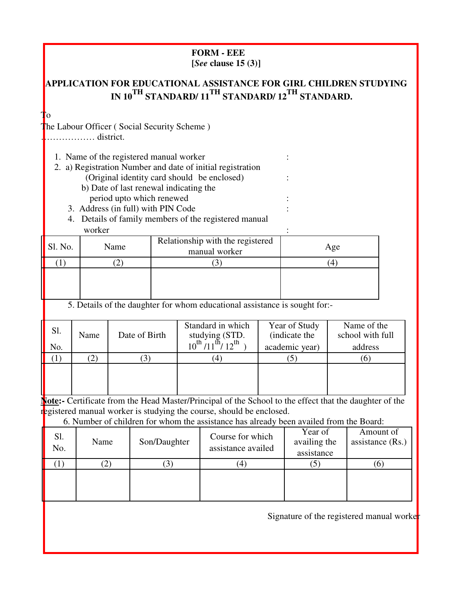#### **FORM - EEE [***See* **clause 15 (3)]**

# **APPLICATION FOR EDUCATIONAL ASSISTANCE FOR GIRL CHILDREN STUDYING IN 10TH STANDARD/ 11TH STANDARD/ 12TH STANDARD.**

To

The Labour Officer (Social Security Scheme)

……………… district.

1. Name of the registered manual worker :

2. a) Registration Number and date of initial registration (Original identity card should be enclosed) :

- b) Date of last renewal indicating the
- period upto which renewed :
- 3. Address (in full) with PIN Code :
- 4. Details of family members of the registered manual worker : the second state of the second state  $\mathbf{r}$  :

| Sl. No. | Name                                         | Relationship with the registered<br>manual worker               | Age    |
|---------|----------------------------------------------|-----------------------------------------------------------------|--------|
|         |                                              |                                                                 | 4      |
|         |                                              |                                                                 |        |
|         | $\sim$ $\sim$ $\sim$<br>$\sim$ $\sim$ $\sim$ | $\sim$ $\sim$ $\sim$ $\sim$<br>$\cdot$ .<br>$\mathbf{H}$<br>. . | $\sim$ |

5. Details of the daughter for whom educational assistance is sought for:-

|     | Sl. | Name | Date of Birth | Standard in which<br>studying (STD.            | Year of Study<br>(indicate the | Name of the<br>school with full |  |
|-----|-----|------|---------------|------------------------------------------------|--------------------------------|---------------------------------|--|
| No. |     |      |               | $10^{th}$ /11 <sup>th</sup> / 12 <sup>th</sup> | academic year)                 | address                         |  |
|     |     |      |               |                                                |                                |                                 |  |
|     |     |      |               |                                                |                                |                                 |  |
|     |     |      |               |                                                |                                |                                 |  |
|     |     |      |               |                                                |                                |                                 |  |

**Note:-** Certificate from the Head Master/Principal of the School to the effect that the daughter of the registered manual worker is studying the course, should be enclosed.

6. Number of children for whom the assistance has already been availed from the Board:

| Sl.<br>No. | Name | Son/Daughter | Course for which<br>assistance availed | Year of<br>availing the<br>assistance | Amount of<br>assistance $(Rs.)$ |  |
|------------|------|--------------|----------------------------------------|---------------------------------------|---------------------------------|--|
|            |      |              | 4                                      |                                       |                                 |  |
|            |      |              |                                        |                                       |                                 |  |
|            |      |              |                                        |                                       |                                 |  |

Signature of the registered manual worker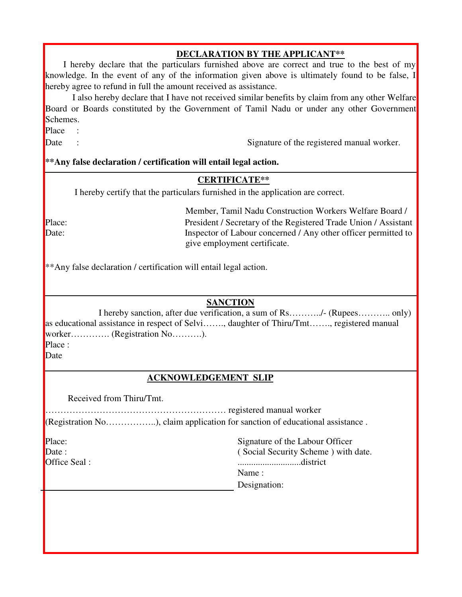#### **DECLARATION BY THE APPLICANT\*\***

I hereby declare that the particulars furnished above are correct and true to the best of my knowledge. In the event of any of the information given above is ultimately found to be false, I hereby agree to refund in full the amount received as assistance.

I also hereby declare that I have not received similar benefits by claim from any other Welfare Board or Boards constituted by the Government of Tamil Nadu or under any other Government Schemes.

Place :

Date : Signature of the registered manual worker.

#### **\*\*Any false declaration / certification will entail legal action.**

#### **CERTIFICATE\*\***

I hereby certify that the particulars furnished in the application are correct.

Member, Tamil Nadu Construction Workers Welfare Board / Place: President / Secretary of the Registered Trade Union / Assistant Date: Inspector of Labour concerned / Any other officer permitted to give employment certificate.

\*\*Any false declaration / certification will entail legal action.

#### **SANCTION**

I hereby sanction, after due verification, a sum of Rs………../- (Rupees……….. only) as educational assistance in respect of Selvi……., daughter of Thiru/Tmt……., registered manual worker………….. (Registration No……….).

Place :

Date

#### **ACKNOWLEDGEMENT SLIP**

Received from Thiru/Tmt.

…………………………………………………… registered manual worker (Registration No……………..), claim application for sanction of educational assistance .

| Place:               | Signature of the Labour Officer     |
|----------------------|-------------------------------------|
| $\Box$ Date :        | (Social Security Scheme) with date. |
| <b>Office Seal</b> : | district                            |
|                      | Name:                               |
|                      | Designation:                        |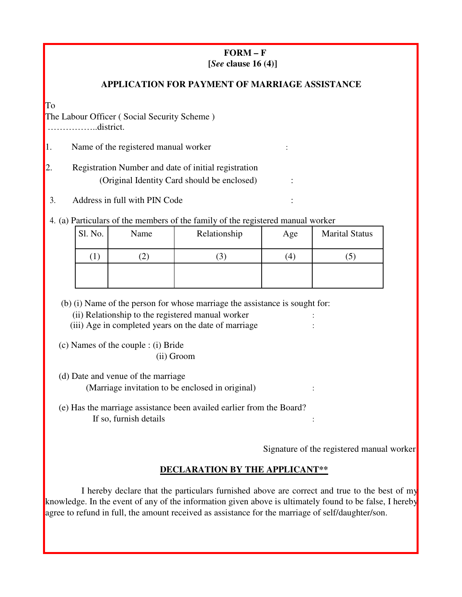# **FORM – F [***See* **clause 16 (4)]**

### **APPLICATION FOR PAYMENT OF MARRIAGE ASSISTANCE**

To

The Labour Officer ( Social Security Scheme ) ……………..district.

1. Name of the registered manual worker :

2. Registration Number and date of initial registration (Original Identity Card should be enclosed) :

3. Address in full with PIN Code :

4. (a) Particulars of the members of the family of the registered manual worker

| Sl. No.<br>Name |  | Relationship | Age              | <b>Marital Status</b> |  |  |
|-----------------|--|--------------|------------------|-----------------------|--|--|
| $\perp$         |  | 3            | $\left(4\right)$ | J                     |  |  |
|                 |  |              |                  |                       |  |  |
|                 |  |              |                  |                       |  |  |

(b) (i) Name of the person for whose marriage the assistance is sought for:

- (ii) Relationship to the registered manual worker :
- (iii) Age in completed years on the date of marriage :

(c) Names of the couple : (i) Bride

(ii) Groom

(d) Date and venue of the marriage (Marriage invitation to be enclosed in original) :

(e) Has the marriage assistance been availed earlier from the Board? If so, furnish details :

Signature of the registered manual worker

# **DECLARATION BY THE APPLICANT\*\***

I hereby declare that the particulars furnished above are correct and true to the best of my knowledge. In the event of any of the information given above is ultimately found to be false, I hereby agree to refund in full, the amount received as assistance for the marriage of self/daughter/son.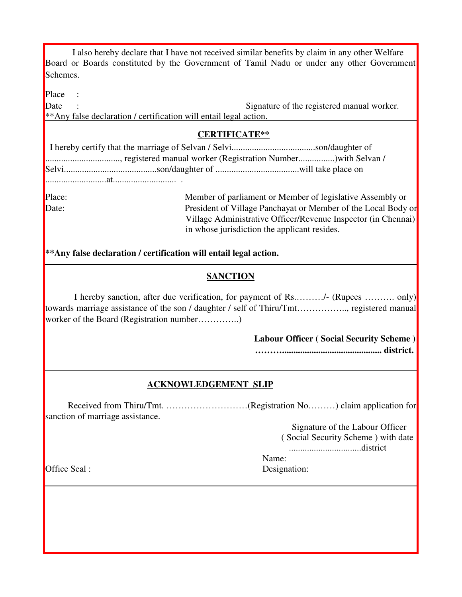|          |  | I also hereby declare that I have not received similar benefits by claim in any other Welfare |  |  |  |
|----------|--|-----------------------------------------------------------------------------------------------|--|--|--|
|          |  | Board or Boards constituted by the Government of Tamil Nadu or under any other Government     |  |  |  |
| Schemes. |  |                                                                                               |  |  |  |

Place

Date : Signature of the registered manual worker. \*\*Any false declaration / certification will entail legal action.

#### **CERTIFICATE\*\***

Place: Member of parliament or Member of legislative Assembly or Date: President of Village Panchayat or Member of the Local Body or Village Administrative Officer/Revenue Inspector (in Chennai) in whose jurisdiction the applicant resides.

### **\*\*Any false declaration / certification will entail legal action.**

#### **SANCTION**

I hereby sanction, after due verification, for payment of Rs.………/- (Rupees ………. only) towards marriage assistance of the son / daughter / self of Thiru/Tmt…………….., registered manual worker of the Board (Registration number................)

> **Labour Officer ( Social Security Scheme ) ………............................................ district.**

#### **ACKNOWLEDGEMENT SLIP**

Received from Thiru/Tmt. ………………………(Registration No………) claim application for sanction of marriage assistance.

> Signature of the Labour Officer ( Social Security Scheme ) with date

................................district

Name:

Office Seal : Designation: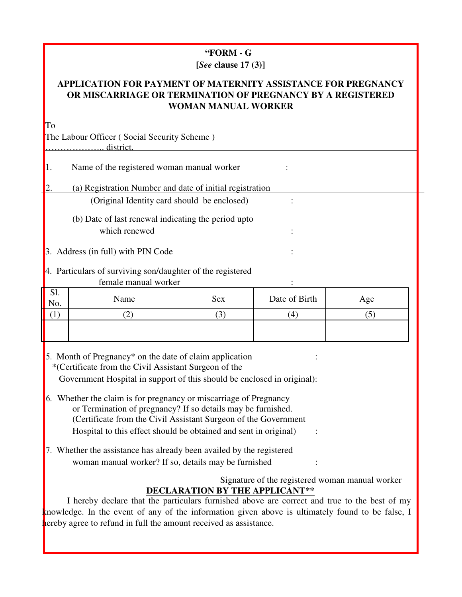#### **"FORM - G [***See* **clause 17 (3)]**

# **APPLICATION FOR PAYMENT OF MATERNITY ASSISTANCE FOR PREGNANCY OR MISCARRIAGE OR TERMINATION OF PREGNANCY BY A REGISTERED WOMAN MANUAL WORKER**

| To                                                         |                                                          |     |               |     |  |  |
|------------------------------------------------------------|----------------------------------------------------------|-----|---------------|-----|--|--|
|                                                            | The Labour Officer (Social Security Scheme)              |     |               |     |  |  |
|                                                            | district.                                                |     |               |     |  |  |
| 1.                                                         | Name of the registered woman manual worker               |     |               |     |  |  |
|                                                            | (a) Registration Number and date of initial registration |     |               |     |  |  |
|                                                            | (Original Identity card should be enclosed)              |     |               |     |  |  |
|                                                            | (b) Date of last renewal indicating the period upto      |     |               |     |  |  |
| which renewed                                              |                                                          |     |               |     |  |  |
| 3. Address (in full) with PIN Code                         |                                                          |     |               |     |  |  |
| 4. Particulars of surviving son/daughter of the registered |                                                          |     |               |     |  |  |
| female manual worker                                       |                                                          |     |               |     |  |  |
| Sl.<br>No.                                                 | Name                                                     | Sex | Date of Birth | Age |  |  |
| (1)                                                        | (2)                                                      | (3) | (4)           | (5) |  |  |
|                                                            |                                                          |     |               |     |  |  |

5. Month of Pregnancy\* on the date of claim application : \*(Certificate from the Civil Assistant Surgeon of the Government Hospital in support of this should be enclosed in original):

I

- 6. Whether the claim is for pregnancy or miscarriage of Pregnancy or Termination of pregnancy? If so details may be furnished. (Certificate from the Civil Assistant Surgeon of the Government Hospital to this effect should be obtained and sent in original  $\cdot$ :
- 7. Whether the assistance has already been availed by the registered woman manual worker? If so, details may be furnished :

# Signature of the registered woman manual worker **DECLARATION BY THE APPLICANT\*\***

I hereby declare that the particulars furnished above are correct and true to the best of my knowledge. In the event of any of the information given above is ultimately found to be false, I hereby agree to refund in full the amount received as assistance.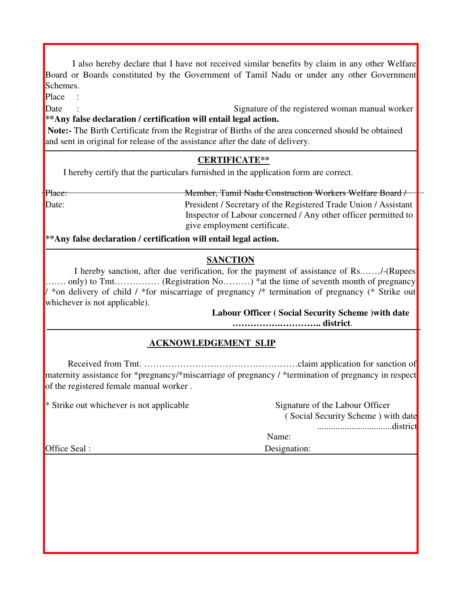I also hereby declare that I have not received similar benefits by claim in any other Welfare Board or Boards constituted by the Government of Tamil Nadu or under any other Government Schemes.

Place :

Date : Signature of the registered woman manual worker **\*\*Any false declaration / certification will entail legal action.**

**Note:-** The Birth Certificate from the Registrar of Births of the area concerned should be obtained and sent in original for release of the assistance after the date of delivery.

# **CERTIFICATE\*\***

I hereby certify that the particulars furnished in the application form are correct.

Place: Member, Tamil Nadu Construction Workers Welfare Board / Date: President / Secretary of the Registered Trade Union / Assistant Inspector of Labour concerned / Any other officer permitted to give employment certificate.

**\*\*Any false declaration / certification will entail legal action.**

# **SANCTION**

I hereby sanction, after due verification, for the payment of assistance of Rs.……/-(Rupees ……. only) to Tmt…………… (Registration No………) \*at the time of seventh month of pregnancy / \*on delivery of child / \*for miscarriage of pregnancy /\* termination of pregnancy (\* Strike out whichever is not applicable).

#### **Labour Officer ( Social Security Scheme )with date …………….………….. district**.

# **ACKNOWLEDGEMENT SLIP**

Received from Tmt. ……………………………………………claim application for sanction of maternity assistance for \*pregnancy/\*miscarriage of pregnancy / \*termination of pregnancy in respect of the registered female manual worker .

| * Strike out whichever is not applicable | Signature of the Labour Officer    |
|------------------------------------------|------------------------------------|
|                                          | (Social Security Scheme) with date |
|                                          |                                    |
|                                          | Name:                              |
| Office Seal :                            | Designation:                       |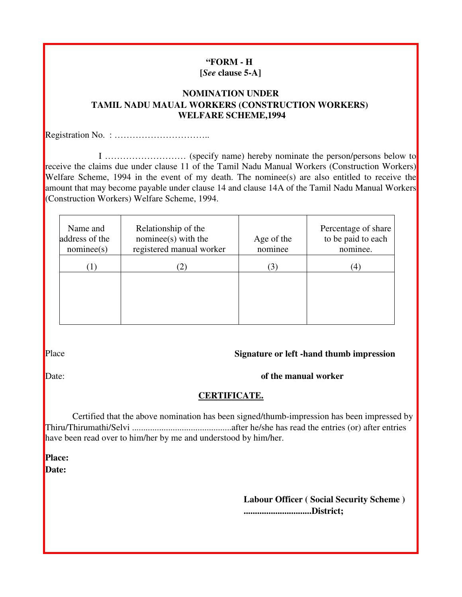#### **"FORM - H [***See* **clause 5-A]**

#### **NOMINATION UNDER TAMIL NADU MAUAL WORKERS (CONSTRUCTION WORKERS) WELFARE SCHEME,1994**

Registration No. : …………………………..

I ……………………… (specify name) hereby nominate the person/persons below to receive the claims due under clause 11 of the Tamil Nadu Manual Workers (Construction Workers) Welfare Scheme, 1994 in the event of my death. The nominee(s) are also entitled to receive the amount that may become payable under clause 14 and clause 14A of the Tamil Nadu Manual Workers (Construction Workers) Welfare Scheme, 1994.

| Name and<br>address of the<br>nominee(s) | Relationship of the<br>$nominee(s)$ with the<br>registered manual worker | Age of the<br>nominee | Percentage of share<br>to be paid to each<br>nominee. |
|------------------------------------------|--------------------------------------------------------------------------|-----------------------|-------------------------------------------------------|
| (1)                                      | 2)                                                                       | 3)                    | (4)                                                   |
|                                          |                                                                          |                       |                                                       |
|                                          |                                                                          |                       |                                                       |
|                                          |                                                                          |                       |                                                       |

#### Place **Signature or left -hand thumb impression**

### Date: **of the manual worker**

#### **CERTIFICATE.**

Certified that the above nomination has been signed/thumb-impression has been impressed by Thiru/Thirumathi/Selvi ............................................after he/she has read the entries (or) after entries have been read over to him/her by me and understood by him/her.

**Place: Date:**

> **Labour Officer ( Social Security Scheme ) ..............................District;**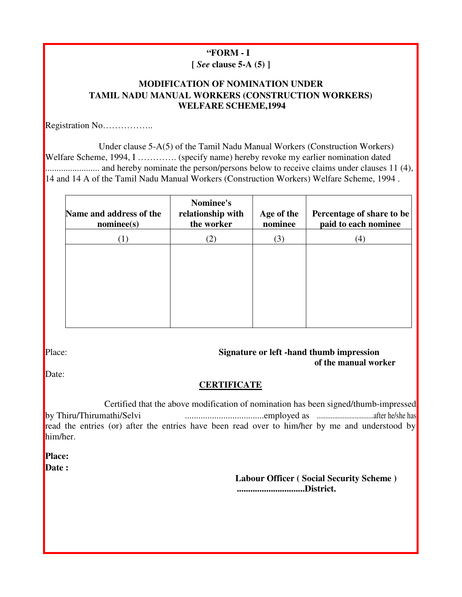# **"FORM - I**

**[** *See* **clause 5-A (5) ]**

### **MODIFICATION OF NOMINATION UNDER TAMIL NADU MANUAL WORKERS (CONSTRUCTION WORKERS) WELFARE SCHEME,1994**

Registration No……………..

Under clause 5-A(5) of the Tamil Nadu Manual Workers (Construction Workers) Welfare Scheme, 1994, I ………….. (specify name) hereby revoke my earlier nomination dated ........................ and hereby nominate the person/persons below to receive claims under clauses 11 (4), 14 and 14 A of the Tamil Nadu Manual Workers (Construction Workers) Welfare Scheme, 1994 .

| Name and address of the<br>nominee(s) | Nominee's<br>relationship with<br>the worker | Age of the<br>nominee | Percentage of share to be<br>paid to each nominee |
|---------------------------------------|----------------------------------------------|-----------------------|---------------------------------------------------|
| (1)                                   | (2)                                          | (3)                   | (4)                                               |
|                                       |                                              |                       |                                                   |
|                                       |                                              |                       |                                                   |
|                                       |                                              |                       |                                                   |
|                                       |                                              |                       |                                                   |
|                                       |                                              |                       |                                                   |

#### Place: **Signature or left -hand thumb impression of the manual worker**

Date:

# **CERTIFICATE**

Certified that the above modification of nomination has been signed/thumb-impressed by Thiru/Thirumathi/Selvi ...................................employed as .................................after he/she has read the entries (or) after the entries have been read over to him/her by me and understood by him/her.

**Place:**

**Date :**

**Labour Officer ( Social Security Scheme ) ..............................District.**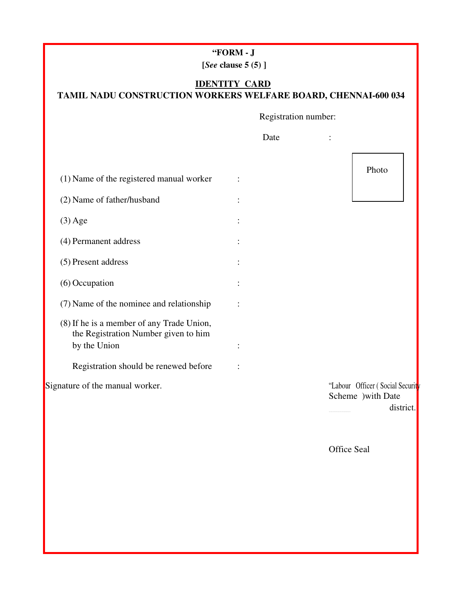| "FORM |  |  |
|-------|--|--|
|-------|--|--|

**[***See* **clause 5 (5) ]**

# **IDENTITY CARD TAMIL NADU CONSTRUCTION WORKERS WELFARE BOARD, CHENNAI-600 034**

Registration number:

|                                                                                   | Date |                                                                     |
|-----------------------------------------------------------------------------------|------|---------------------------------------------------------------------|
|                                                                                   |      | Photo                                                               |
| (1) Name of the registered manual worker                                          |      |                                                                     |
| (2) Name of father/husband                                                        |      |                                                                     |
| $(3)$ Age                                                                         |      |                                                                     |
| (4) Permanent address                                                             |      |                                                                     |
| (5) Present address                                                               |      |                                                                     |
| (6) Occupation                                                                    |      |                                                                     |
| (7) Name of the nominee and relationship                                          |      |                                                                     |
| (8) If he is a member of any Trade Union,<br>the Registration Number given to him |      |                                                                     |
| by the Union                                                                      |      |                                                                     |
| Registration should be renewed before                                             |      |                                                                     |
| Signature of the manual worker.                                                   |      | "Labour Officer (Social Security<br>Scheme ) with Date<br>district. |
|                                                                                   |      |                                                                     |
|                                                                                   |      | <b>Office Seal</b>                                                  |
|                                                                                   |      |                                                                     |
|                                                                                   |      |                                                                     |
|                                                                                   |      |                                                                     |
|                                                                                   |      |                                                                     |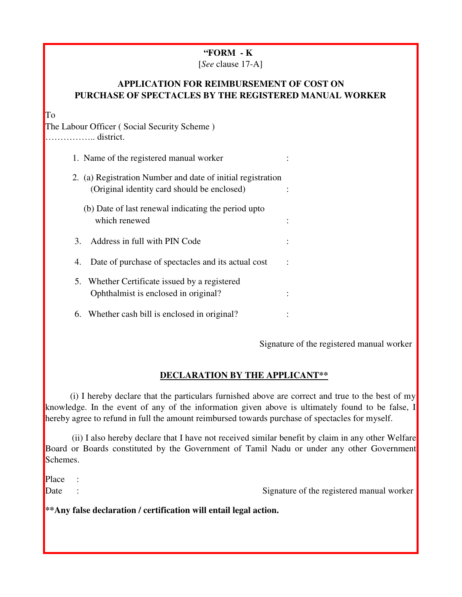### **"FORM - K**

[*See* clause 17-A]

### **APPLICATION FOR REIMBURSEMENT OF COST ON PURCHASE OF SPECTACLES BY THE REGISTERED MANUAL WORKER**

To

The Labour Officer ( Social Security Scheme ) …………….. district.

| 1. Name of the registered manual worker                                                                    |  |
|------------------------------------------------------------------------------------------------------------|--|
| 2. (a) Registration Number and date of initial registration<br>(Original identity card should be enclosed) |  |
| $(h)$ Deta of lest repayed indicating the newind unto                                                      |  |

- (b) Date of last renewal indicating the period upto which renewed :  $\blacksquare$
- 3. Address in full with PIN Code :
- 4. Date of purchase of spectacles and its actual cost :
- 5. Whether Certificate issued by a registered Ophthalmist is enclosed in original? :
- 6. Whether cash bill is enclosed in original? :

Signature of the registered manual worker

# **DECLARATION BY THE APPLICANT\*\***

(i) I hereby declare that the particulars furnished above are correct and true to the best of my knowledge. In the event of any of the information given above is ultimately found to be false, I hereby agree to refund in full the amount reimbursed towards purchase of spectacles for myself.

(ii) I also hereby declare that I have not received similar benefit by claim in any other Welfare Board or Boards constituted by the Government of Tamil Nadu or under any other Government Schemes.

Place :

Date : Signature of the registered manual worker

**\*\*Any false declaration / certification will entail legal action.**